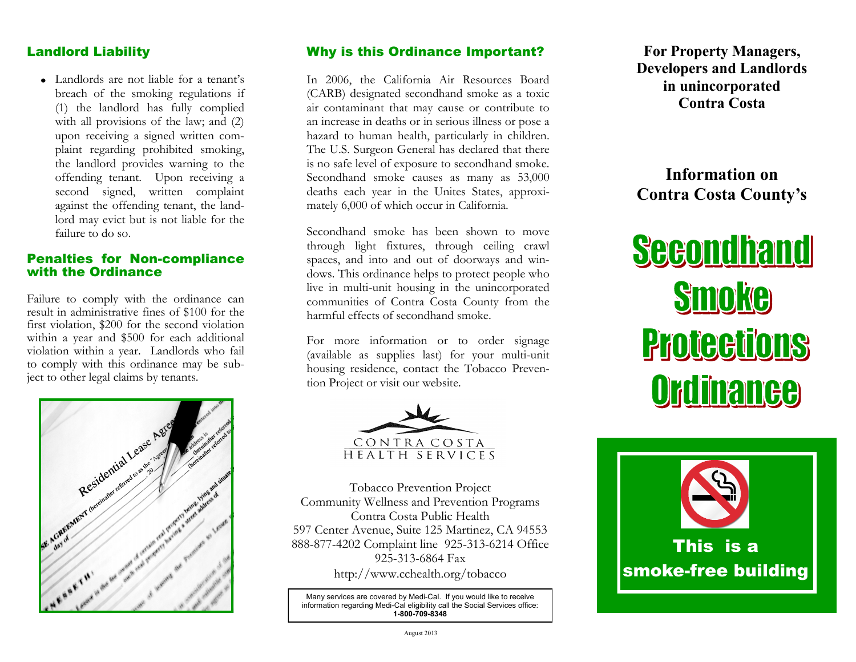## Landlord Liability

Landlords are not liable for a tenant's breach of the smoking regulations if (1) the landlord has fully complied with all provisions of the law; and (2) upon receiving a signed written complaint regarding prohibited smoking, the landlord provides warning to the offending tenant. Upon receiving a second signed, written complaint against the offending tenant, the landlord may evict but is not liable for the failure to do so.

### Penalties for Non-compliance with the Ordinance

Failure to comply with the ordinance can result in administrative fines of \$100 for the first violation, \$200 for the second violation within a year and \$500 for each additional violation within a year. Landlords who fail to comply with this ordinance may be subject to other legal claims by tenants.



## Why is this Ordinance Important?

In 2006, the California Air Resources Board (CARB) designated secondhand smoke as a toxic air contaminant that may cause or contribute to an increase in deaths or in serious illness or pose a hazard to human health, particularly in children. The U.S. Surgeon General has declared that there is no safe level of exposure to secondhand smoke. Secondhand smoke causes as many as 53,000 deaths each year in the Unites States, approximately 6,000 of which occur in California.

Secondhand smoke has been shown to move through light fixtures, through ceiling crawl spaces, and into and out of doorways and windows. This ordinance helps to protect people who live in multi-unit housing in the unincorporated communities of Contra Costa County from the harmful effects of secondhand smoke.

For more information or to order signage (available as supplies last) for your multi-unit housing residence, contact the Tobacco Prevention Project or visit our website.



Tobacco Prevention Project Community Wellness and Prevention Programs Contra Costa Public Health 597 Center Avenue, Suite 125 Martinez, CA 94553 888-877-4202 Complaint line 925-313-6214 Office 925-313-6864 Fax http://www.cchealth.org/tobacco

Many services are covered by Medi-Cal. If you would like to receive information regarding Medi-Cal eligibility call the Social Services office: **1-800-709-8348**

**For Property Managers, Developers and Landlords in unincorporated Contra Costa**

**Information on Contra Costa County's**